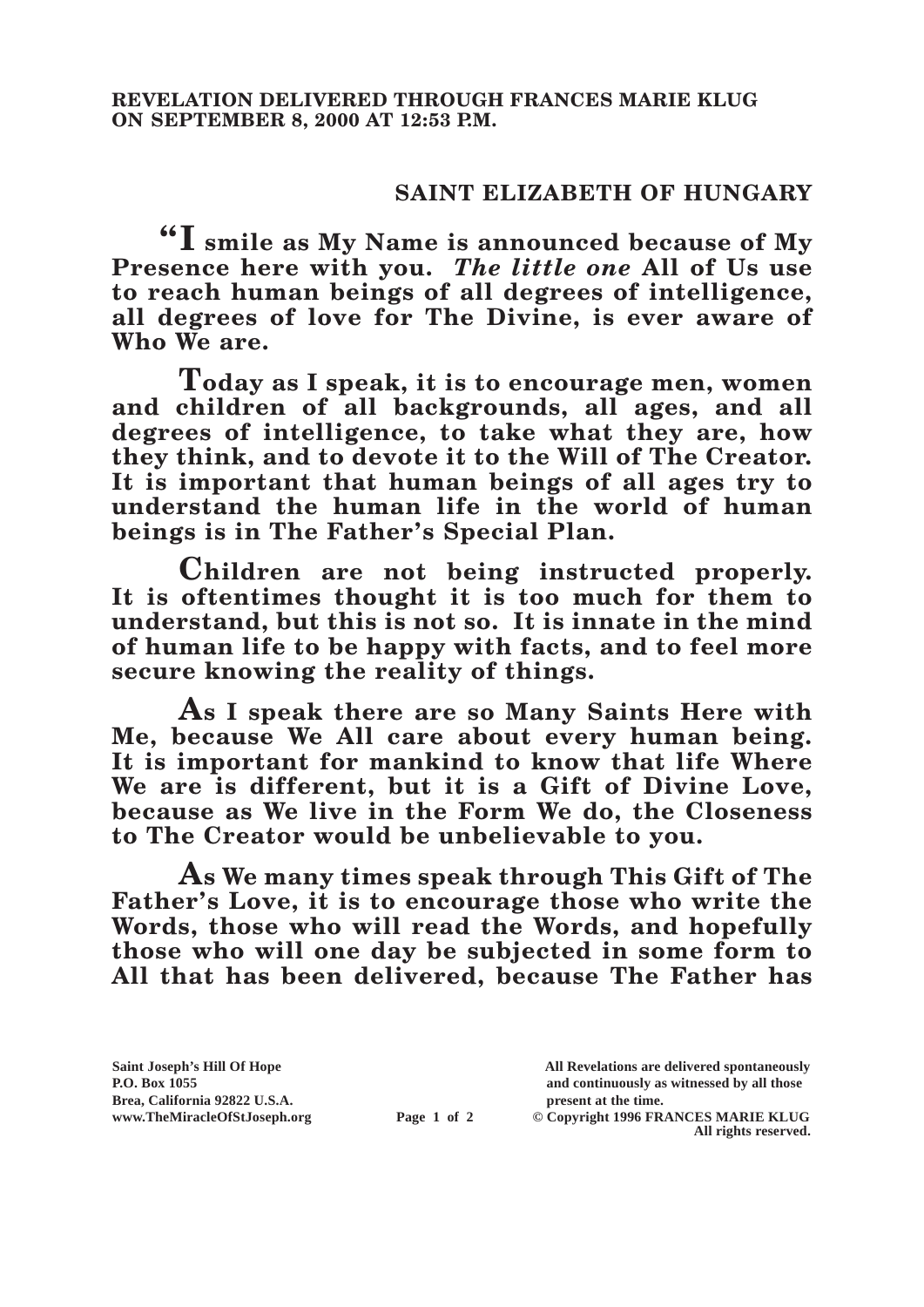## **SAINT ELIZABETH OF HUNGARY**

**"I smile as My Name is announced because of My Presence here with you.** *The little one* **All of Us use to reach human beings of all degrees of intelligence, all degrees of love for The Divine, is ever aware of Who We are.**

**Today as I speak, it is to encourage men, women and children of all backgrounds, all ages, and all degrees of intelligence, to take what they are, how they think, and to devote it to the Will of The Creator. It is important that human beings of all ages try to understand the human life in the world of human beings is in The Father's Special Plan.**

**Children are not being instructed properly. It is oftentimes thought it is too much for them to understand, but this is not so. It is innate in the mind of human life to be happy with facts, and to feel more secure knowing the reality of things.**

**As I speak there are so Many Saints Here with Me, because We All care about every human being. It is important for mankind to know that life Where We are is different, but it is a Gift of Divine Love, because as We live in the Form We do, the Closeness to The Creator would be unbelievable to you.**

**As We many times speak through This Gift of The Father's Love, it is to encourage those who write the Words, those who will read the Words, and hopefully those who will one day be subjected in some form to All that has been delivered, because The Father has** 

**Brea, California 92822 U.S.A. present at the time.**<br> **present at the time.**<br> **present at the time.**<br> **Page 1 of 2** © Copyright 1996 FR.

**Saint Joseph's Hill Of Hope All Revelations are delivered spontaneously P.O. Box 1055 and continuously as witnessed by all those** 

**Page 1 of 2** © Copyright 1996 FRANCES MARIE KLUG **All rights reserved.**